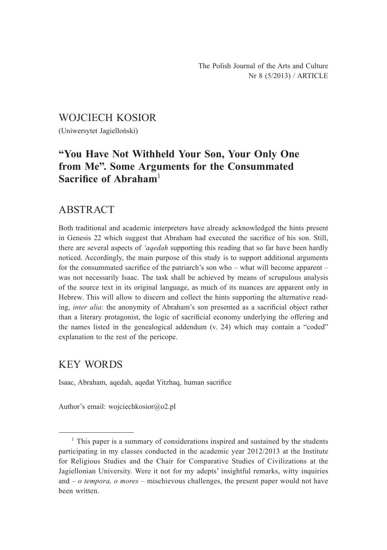### WOJCIECH KOSIOR

(Uniwersytet Jagielloński)

# **"You Have Not Withheld Your Son, Your Only One from Me". Some Arguments for the Consummated Sacrifice of Abraham**<sup>1</sup>

## ABSTRACT

Both traditional and academic interpreters have already acknowledged the hints present in Genesis 22 which suggest that Abraham had executed the sacrifice of his son. Still, there are several aspects of *'aqedah* supporting this reading that so far have been hardly noticed. Accordingly, the main purpose of this study is to support additional arguments for the consummated sacrifice of the patriarch's son who – what will become apparent – was not necessarily Isaac. The task shall be achieved by means of scrupulous analysis of the source text in its original language, as much of its nuances are apparent only in Hebrew. This will allow to discern and collect the hints supporting the alternative reading, *inter alia*: the anonymity of Abraham's son presented as a sacrificial object rather than a literary protagonist, the logic of sacrificial economy underlying the offering and the names listed in the genealogical addendum (v. 24) which may contain a "coded" explanation to the rest of the pericope.

### KEY WORDS

Isaac, Abraham, aqedah, aqedat Yitzhaq, human sacrifice

Author's email: wojciechkosior@o2.pl

 $<sup>1</sup>$  This paper is a summary of considerations inspired and sustained by the students</sup> participating in my classes conducted in the academic year 2012/2013 at the Institute for Religious Studies and the Chair for Comparative Studies of Civilizations at the Jagiellonian University. Were it not for my adepts' insightful remarks, witty inquiries and – *o tempora, o mores* – mischievous challenges, the present paper would not have been written.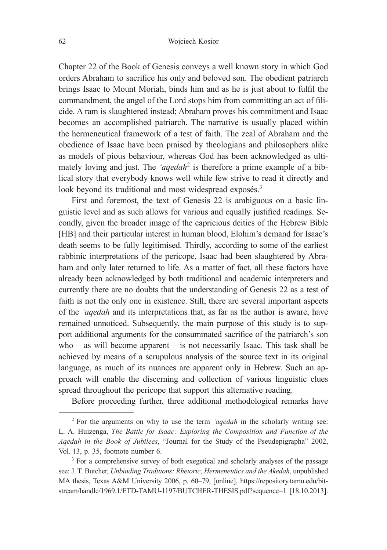Chapter 22 of the Book of Genesis conveys a well known story in which God orders Abraham to sacrifice his only and beloved son. The obedient patriarch brings Isaac to Mount Moriah, binds him and as he is just about to fulfil the commandment, the angel of the Lord stops him from committing an act of filicide. A ram is slaughtered instead; Abraham proves his commitment and Isaac becomes an accomplished patriarch. The narrative is usually placed within the hermeneutical framework of a test of faith. The zeal of Abraham and the obedience of Isaac have been praised by theologians and philosophers alike as models of pious behaviour, whereas God has been acknowledged as ultimately loving and just. The 'aqedah<sup>2</sup> is therefore a prime example of a biblical story that everybody knows well while few strive to read it directly and look beyond its traditional and most widespread exposés.<sup>3</sup>

First and foremost, the text of Genesis 22 is ambiguous on a basic linguistic level and as such allows for various and equally justified readings. Secondly, given the broader image of the capricious deities of the Hebrew Bible [HB] and their particular interest in human blood, Elohim's demand for Isaac's death seems to be fully legitimised. Thirdly, according to some of the earliest rabbinic interpretations of the pericope, Isaac had been slaughtered by Abraham and only later returned to life. As a matter of fact, all these factors have already been acknowledged by both traditional and academic interpreters and currently there are no doubts that the understanding of Genesis 22 as a test of faith is not the only one in existence. Still, there are several important aspects of the *'aqedah* and its interpretations that, as far as the author is aware, have remained unnoticed. Subsequently, the main purpose of this study is to support additional arguments for the consummated sacrifice of the patriarch's son who – as will become apparent – is not necessarily Isaac. This task shall be achieved by means of a scrupulous analysis of the source text in its original language, as much of its nuances are apparent only in Hebrew. Such an approach will enable the discerning and collection of various linguistic clues spread throughout the pericope that support this alternative reading.

Before proceeding further, three additional methodological remarks have

<sup>2</sup> For the arguments on why to use the term *'aqedah* in the scholarly writing see: L. A. Huizenga, *The Battle for Isaac: Exploring the Composition and Function of the Aqedah in the Book of Jubilees*, "Journal for the Study of the Pseudepigrapha" 2002, Vol. 13, p. 35, footnote number 6.

<sup>&</sup>lt;sup>3</sup> For a comprehensive survey of both exegetical and scholarly analyses of the passage see: J. T. Butcher, *Unbinding Traditions: Rhetoric, Hermeneutics and the Akedah*, unpublished MA thesis, Texas A&M University 2006, p. 60–79, [online], https://repository.tamu.edu/bitstream/handle/1969.1/ETD-TAMU-1197/BUTCHER-THESIS.pdf?sequence=1 [18.10.2013].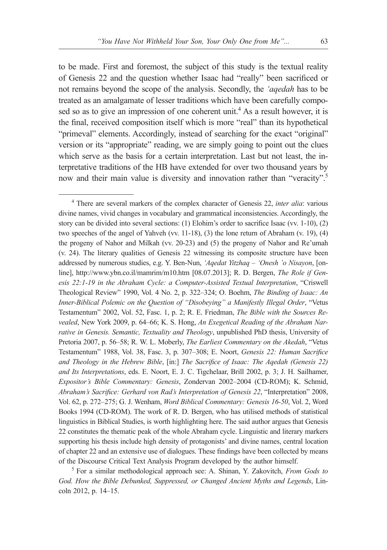to be made. First and foremost, the subject of this study is the textual reality of Genesis 22 and the question whether Isaac had "really" been sacrificed or not remains beyond the scope of the analysis. Secondly, the *'aqedah* has to be treated as an amalgamate of lesser traditions which have been carefully composed so as to give an impression of one coherent unit.<sup>4</sup> As a result however, it is the final, received composition itself which is more "real" than its hypothetical "primeval" elements. Accordingly, instead of searching for the exact "original" version or its "appropriate" reading, we are simply going to point out the clues which serve as the basis for a certain interpretation. Last but not least, the interpretative traditions of the HB have extended for over two thousand years by now and their main value is diversity and innovation rather than "veracity".<sup>5</sup>

<sup>5</sup> For a similar methodological approach see: A. Shinan, Y. Zakovitch, *From Gods to God. How the Bible Debunked, Suppressed, or Changed Ancient Myths and Legends*, Lincoln 2012, p. 14–15.

<sup>4</sup> There are several markers of the complex character of Genesis 22, *inter alia*: various divine names, vivid changes in vocabulary and grammatical inconsistencies. Accordingly, the story can be divided into several sections: (1) Elohim's order to sacrifice Isaac (vv. 1-10), (2) two speeches of the angel of Yahveh (vv. 11-18), (3) the lone return of Abraham (v. 19), (4) the progeny of Nahor and Milkah (vv. 20-23) and (5) the progeny of Nahor and Re'umah (v. 24). The literary qualities of Genesis 22 witnessing its composite structure have been addressed by numerous studies, e.g. Y. Ben-Nun, *'Aqedat Yitzhaq – 'Onesh 'o Nisayon*, [online], http://www.ybn.co.il/mamrim/m10.htm [08.07.2013]; R. D. Bergen, *The Role if Genesis 22:1-19 in the Abraham Cycle: a Computer-Assisted Textual Interpretation*, "Criswell Theological Review" 1990, Vol. 4 No. 2, p. 322–324; O. Boehm, *The Binding of Isaac: An Inner-Biblical Polemic on the Question of "Disobeying" a Manifestly Illegal Order*, "Vetus Testamentum" 2002, Vol. 52, Fasc. 1, p. 2; R. E. Friedman, *The Bible with the Sources Revealed*, New York 2009, p. 64–66; K. S. Hong, *An Exegetical Reading of the Abraham Narrative in Genesis. Semantic, Textuality and Theology*, unpublished PhD thesis, University of Pretoria 2007, p. 56–58; R. W. L. Moberly, *The Earliest Commentary on the Akedah*, "Vetus Testamentum" 1988, Vol. 38, Fasc. 3, p. 307–308; E. Noort, *Genesis 22: Human Sacrifice and Theology in the Hebrew Bible*, [in:] *The Sacrifice of Isaac: The Aqedah (Genesis 22) and Its Interpretations*, eds. E. Noort, E. J. C. Tigchelaar, Brill 2002, p. 3; J. H. Sailhamer, *Expositor's Bible Commentary: Genesis*, Zondervan 2002–2004 (CD-ROM); K. Schmid, *Abraham's Sacrifice: Gerhard von Rad's Interpretation of Genesis 22*, "Interpretation" 2008, Vol. 62, p. 272–275; G. J. Wenham, *Word Biblical Commentary: Genesis 16-50*, Vol. 2, Word Books 1994 (CD-ROM). The work of R. D. Bergen, who has utilised methods of statistical linguistics in Biblical Studies, is worth highlighting here. The said author argues that Genesis 22 constitutes the thematic peak of the whole Abraham cycle. Linguistic and literary markers supporting his thesis include high density of protagonists' and divine names, central location of chapter 22 and an extensive use of dialogues. These findings have been collected by means of the Discourse Critical Text Analysis Program developed by the author himself.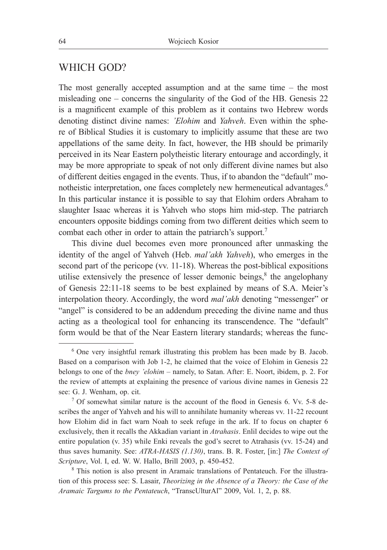### WHICH GOD?

The most generally accepted assumption and at the same time – the most misleading one – concerns the singularity of the God of the HB. Genesis 22 is a magnificent example of this problem as it contains two Hebrew words denoting distinct divine names: *'Elohim* and *Yahveh*. Even within the sphere of Biblical Studies it is customary to implicitly assume that these are two appellations of the same deity. In fact, however, the HB should be primarily perceived in its Near Eastern polytheistic literary entourage and accordingly, it may be more appropriate to speak of not only different divine names but also of different deities engaged in the events. Thus, if to abandon the "default" monotheistic interpretation, one faces completely new hermeneutical advantages.<sup>6</sup> In this particular instance it is possible to say that Elohim orders Abraham to slaughter Isaac whereas it is Yahveh who stops him mid-step. The patriarch encounters opposite biddings coming from two different deities which seem to combat each other in order to attain the patriarch's support.<sup>7</sup>

This divine duel becomes even more pronounced after unmasking the identity of the angel of Yahveh (Heb. *mal'akh Yahveh*), who emerges in the second part of the pericope (vv. 11-18). Whereas the post-biblical expositions utilise extensively the presence of lesser demonic beings, $\delta$  the angelophany of Genesis 22:11-18 seems to be best explained by means of S.A. Meier's interpolation theory. Accordingly, the word *mal'akh* denoting "messenger" or "angel" is considered to be an addendum preceding the divine name and thus acting as a theological tool for enhancing its transcendence. The "default" form would be that of the Near Eastern literary standards; whereas the func-

<sup>6</sup> One very insightful remark illustrating this problem has been made by B. Jacob. Based on a comparison with Job 1-2, he claimed that the voice of Elohim in Genesis 22 belongs to one of the *bney 'elohim* – namely, to Satan. After: E. Noort, ibidem, p. 2. For the review of attempts at explaining the presence of various divine names in Genesis 22 see: G. J. Wenham, op. cit.

<sup>7</sup> Of somewhat similar nature is the account of the flood in Genesis 6. Vv. 5-8 describes the anger of Yahveh and his will to annihilate humanity whereas vv. 11-22 recount how Elohim did in fact warn Noah to seek refuge in the ark. If to focus on chapter 6 exclusively, then it recalls the Akkadian variant in *Atrahasis*. Enlil decides to wipe out the entire population (v. 35) while Enki reveals the god's secret to Atrahasis (vv. 15-24) and thus saves humanity. See: *ATRA-HASIS (1.130)*, trans. B. R. Foster, [in:] *The Context of Scripture*, Vol. I, ed. W. W. Hallo, Brill 2003, p. 450-452.

<sup>8</sup> This notion is also present in Aramaic translations of Pentateuch. For the illustration of this process see: S. Lasair, *Theorizing in the Absence of a Theory: the Case of the Aramaic Targums to the Pentateuch*, "TranscUlturAl" 2009, Vol. 1, 2, p. 88.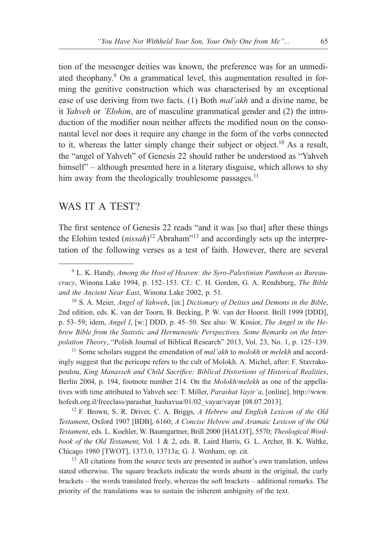tion of the messenger deities was known, the preference was for an unmediated theophany.<sup>9</sup> On a grammatical level, this augmentation resulted in forming the genitive construction which was characterised by an exceptional ease of use deriving from two facts. (1) Both *mal'akh* and a divine name, be it *Yahveh* or *'Elohim*, are of masculine grammatical gender and (2) the introduction of the modifier noun neither affects the modified noun on the consonantal level nor does it require any change in the form of the verbs connected to it, whereas the latter simply change their subject or object.<sup>10</sup> As a result, the "angel of Yahveh" of Genesis 22 should rather be understood as "Yahveh himself" – although presented here in a literary disguise, which allows to shy him away from the theologically troublesome passages.<sup>11</sup>

### WAS IT A TEST?

The first sentence of Genesis 22 reads "and it was [so that] after these things the Elohim tested (*nissah*) <sup>12</sup> Abraham"13 and accordingly sets up the interpretation of the following verses as a test of faith. However, there are several

<sup>10</sup> S. A. Meier, *Angel of Yahweh*, [in:] *Dictionary of Deities and Demons in the Bible*, 2nd edition, eds. K. van der Toorn, B. Becking, P. W. van der Hoorst. Brill 1999 [DDD], p. 53–59; idem, *Angel I*, [w:] DDD, p. 45–50. See also: W. Kosior, *The Angel in the Hebrew Bible from the Statistic and Hermeneutic Perspectives. Some Remarks on the Interpolation Theory*, "Polish Journal of Biblical Research" 2013, Vol. 23, No. 1, p. 125–139.

<sup>11</sup> Some scholars suggest the emendation of *mal'akh* to *molokh* or *melekh* and accordingly suggest that the pericope refers to the cult of Molokh. A. Michel, after: F. Stavrakopoulou, *King Manasseh and Child Sacrifice: Biblical Distortions of Historical Realities*, Berlin 2004, p. 194, footnote number 214. On the *Molokh*/*melekh* as one of the appellatives with time attributed to Yahveh see: T. Miller, *Parashat Vayir'a*, [online], http://www. hofesh.org.il/freeclass/parashat\_hashavua/01/02\_vayar/vayar [08.07.2013].

<sup>12</sup> F. Brown, S. R. Driver, C. A. Briggs, *A Hebrew and English Lexicon of the Old Testament*, Oxford 1907 [BDB], 6160; *A Concise Hebrew and Aramaic Lexicon of the Old Testament*, eds. L. Koehler, W. Baumgartner, Brill 2000 [HALOT], 5570; *Theological Wordbook of the Old Testament*, Vol. 1 & 2, eds. R. Laird Harris, G. L. Archer, B. K. Waltke, Chicago 1980 [TWOT], 1373.0, 13713a; G. J. Wenham, op. cit.

<sup>13</sup> All citations from the source texts are presented in author's own translation, unless stated otherwise. The square brackets indicate the words absent in the original, the curly brackets – the words translated freely, whereas the soft brackets – additional remarks. The priority of the translations was to sustain the inherent ambiguity of the text.

<sup>9</sup> L. K. Handy, *Among the Host of Heaven: the Syro-Palestinian Pantheon as Bureaucracy*, Winona Lake 1994, p. 152–153. Cf.: C. H. Gordon, G. A. Rendsburg, *The Bible and the Ancient Near East*, Winona Lake 2002, p. 51.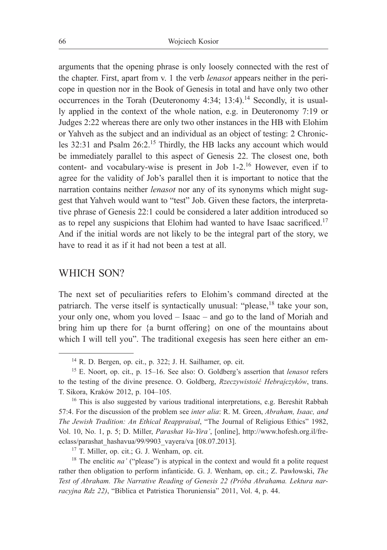arguments that the opening phrase is only loosely connected with the rest of the chapter. First, apart from v. 1 the verb *lenasot* appears neither in the pericope in question nor in the Book of Genesis in total and have only two other occurrences in the Torah (Deuteronomy 4:34; 13:4).<sup>14</sup> Secondly, it is usually applied in the context of the whole nation, e.g. in Deuteronomy 7:19 or Judges 2:22 whereas there are only two other instances in the HB with Elohim or Yahveh as the subject and an individual as an object of testing: 2 Chronicles 32:31 and Psalm 26:2.<sup>15</sup> Thirdly, the HB lacks any account which would be immediately parallel to this aspect of Genesis 22. The closest one, both content- and vocabulary-wise is present in Job 1-2.<sup>16</sup> However, even if to agree for the validity of Job's parallel then it is important to notice that the narration contains neither *lenasot* nor any of its synonyms which might suggest that Yahveh would want to "test" Job. Given these factors, the interpretative phrase of Genesis 22:1 could be considered a later addition introduced so as to repel any suspicions that Elohim had wanted to have Isaac sacrificed.<sup>17</sup> And if the initial words are not likely to be the integral part of the story, we have to read it as if it had not been a test at all.

#### WHICH SON?

The next set of peculiarities refers to Elohim's command directed at the patriarch. The verse itself is syntactically unusual: "please,<sup>18</sup> take your son, your only one, whom you loved – Isaac – and go to the land of Moriah and bring him up there for {a burnt offering} on one of the mountains about which I will tell you". The traditional exegesis has seen here either an em-

 $17$  T. Miller, op. cit.; G. J. Wenham, op. cit.

<sup>14</sup> R. D. Bergen, op. cit., p. 322; J. H. Sailhamer, op. cit.

<sup>15</sup> E. Noort, op. cit., p. 15–16. See also: O. Goldberg's assertion that *lenasot* refers to the testing of the divine presence. O. Goldberg, *Rzeczywistość Hebrajczyków*, trans. T. Sikora, Kraków 2012, p. 104–105.

<sup>&</sup>lt;sup>16</sup> This is also suggested by various traditional interpretations, e.g. Bereshit Rabbah 57:4. For the discussion of the problem see *inter alia*: R. M. Green, *Abraham, Isaac, and The Jewish Tradition: An Ethical Reappraisal*, "The Journal of Religious Ethics" 1982, Vol. 10, No. 1, p. 5; D. Miller, *Parashat Va-Yira'*, [online], http://www.hofesh.org.il/freeclass/parashat\_hashavua/99/9903\_vayera/va [08.07.2013].

<sup>&</sup>lt;sup>18</sup> The enclitic  $na'$  ("please") is atypical in the context and would fit a polite request rather then obligation to perform infanticide. G. J. Wenham, op. cit.; Z. Pawłowski, *The Test of Abraham. The Narrative Reading of Genesis 22 (Próba Abrahama. Lektura narracyjna Rdz 22)*, "Biblica et Patristica Thoruniensia" 2011, Vol. 4, p. 44.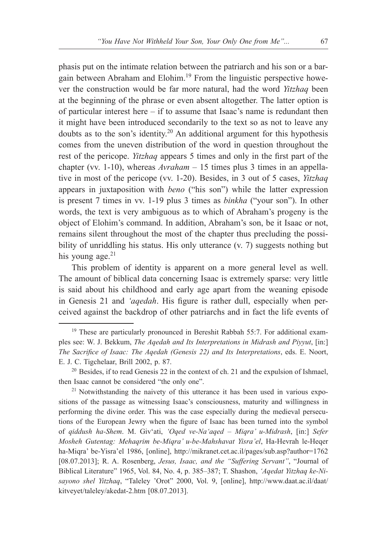phasis put on the intimate relation between the patriarch and his son or a bargain between Abraham and Elohim.19 From the linguistic perspective however the construction would be far more natural, had the word *Yitzhaq* been at the beginning of the phrase or even absent altogether. The latter option is of particular interest here – if to assume that Isaac's name is redundant then it might have been introduced secondarily to the text so as not to leave any doubts as to the son's identity.<sup>20</sup> An additional argument for this hypothesis comes from the uneven distribution of the word in question throughout the rest of the pericope. *Yitzhaq* appears 5 times and only in the first part of the chapter (vv. 1-10), whereas *Avraham* – 15 times plus 3 times in an appellative in most of the pericope (vv. 1-20). Besides, in 3 out of 5 cases, *Yitzhaq* appears in juxtaposition with *beno* ("his son") while the latter expression is present 7 times in vv. 1-19 plus 3 times as *binkha* ("your son"). In other words, the text is very ambiguous as to which of Abraham's progeny is the object of Elohim's command. In addition, Abraham's son, be it Isaac or not, remains silent throughout the most of the chapter thus precluding the possibility of unriddling his status. His only utterance (v. 7) suggests nothing but his young age. $21$ 

This problem of identity is apparent on a more general level as well. The amount of biblical data concerning Isaac is extremely sparse: very little is said about his childhood and early age apart from the weaning episode in Genesis 21 and *'aqedah*. His figure is rather dull, especially when perceived against the backdrop of other patriarchs and in fact the life events of

<sup>&</sup>lt;sup>19</sup> These are particularly pronounced in Bereshit Rabbah 55:7. For additional examples see: W. J. Bekkum, *The Aqedah and Its Interpretations in Midrash and Piyyut*, [in:] *The Sacrifice of Isaac: The Aqedah (Genesis 22) and Its Interpretations*, eds. E. Noort, E. J. C. Tigchelaar, Brill 2002, p. 87.

 $20$  Besides, if to read Genesis 22 in the context of ch. 21 and the expulsion of Ishmael, then Isaac cannot be considered "the only one".

 $21$  Notwithstanding the naivety of this utterance it has been used in various expositions of the passage as witnessing Isaac's consciousness, maturity and willingness in performing the divine order. This was the case especially during the medieval persecutions of the European Jewry when the figure of Isaac has been turned into the symbol of *qiddush ha-Shem*. M. Giv'ati, *'Oqed ve-Na'aqed – Miqra' u-Midrash*, [in:] *Sefer Mosheh Gutentag: Mehaqrim be-Miqra' u-be-Mahshavat Yisra'el*, Ha-Hevrah le-Heqer ha-Miqra' be-Yisra'el 1986, [online], http://mikranet.cet.ac.il/pages/sub.asp?author=1762 [08.07.2013]; R. A. Rosenberg, *Jesus, Isaac, and the "Suffering Servant"*, "Journal of Biblical Literature" 1965, Vol. 84, No. 4, p. 385–387; T. Shashon, *'Aqedat Yitzhaq ke-Nisayono shel Yitzhaq*, "Taleley 'Orot" 2000, Vol. 9, [online], http://www.daat.ac.il/daat/ kitveyet/taleley/akedat-2.htm [08.07.2013].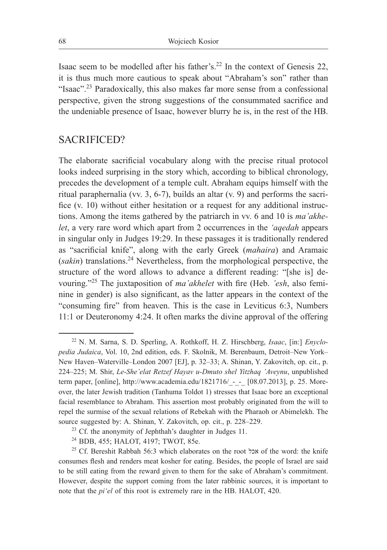Isaac seem to be modelled after his father's.<sup>22</sup> In the context of Genesis 22, it is thus much more cautious to speak about "Abraham's son" rather than "Isaac"<sup>23</sup> Paradoxically, this also makes far more sense from a confessional perspective, given the strong suggestions of the consummated sacrifice and the undeniable presence of Isaac, however blurry he is, in the rest of the HB.

## SACRIFICED?

The elaborate sacrificial vocabulary along with the precise ritual protocol looks indeed surprising in the story which, according to biblical chronology, precedes the development of a temple cult. Abraham equips himself with the ritual paraphernalia (vv. 3, 6-7), builds an altar (v. 9) and performs the sacrifice (v. 10) without either hesitation or a request for any additional instructions. Among the items gathered by the patriarch in vv. 6 and 10 is *ma'akhelet*, a very rare word which apart from 2 occurrences in the *'aqedah* appears in singular only in Judges 19:29. In these passages it is traditionally rendered as "sacrificial knife", along with the early Greek (*mahaira*) and Aramaic (*sakin*) translations.24 Nevertheless, from the morphological perspective, the structure of the word allows to advance a different reading: "[she is] devouring."<sup>25</sup> The juxtaposition of *ma'akhelet* with fire (Heb. *'esh*, also feminine in gender) is also significant, as the latter appears in the context of the "consuming fire" from heaven. This is the case in Leviticus 6:3, Numbers 11:1 or Deuteronomy 4:24. It often marks the divine approval of the offering

<sup>22</sup> N. M. Sarna, S. D. Sperling, A. Rothkoff, H. Z. Hirschberg, *Isaac*, [in:] *Enyclopedia Judaica*, Vol. 10, 2nd edition, eds. F. Skolnik, M. Berenbaum, Detroit–New York– New Haven–Waterville–London 2007 [EJ], p. 32–33; A. Shinan, Y. Zakovitch, op. cit., p. 224–225; M. Shir, *Le-She'elat Retzef Hayav u-Dmuto shel Yitzhaq 'Aveynu*, unpublished term paper, [online], http://www.academia.edu/1821716/\_-\_-\_ [08.07.2013], p. 25. Moreover, the later Jewish tradition (Tanhuma Toldot 1) stresses that Isaac bore an exceptional facial resemblance to Abraham. This assertion most probably originated from the will to repel the surmise of the sexual relations of Rebekah with the Pharaoh or Abimelekh. The source suggested by: A. Shinan, Y. Zakovitch, op. cit., p. 228–229.

<sup>&</sup>lt;sup>23</sup> Cf. the anonymity of Jephthah's daughter in Judges 11.

<sup>24</sup> BDB, 455; HALOT, 4197; TWOT, 85e.

<sup>&</sup>lt;sup>25</sup> Cf. Bereshit Rabbah 56:3 which elaborates on the root אכל of the word: the knife consumes flesh and renders meat kosher for eating. Besides, the people of Israel are said to be still eating from the reward given to them for the sake of Abraham's commitment. However, despite the support coming from the later rabbinic sources, it is important to note that the *pi'el* of this root is extremely rare in the HB. HALOT, 420.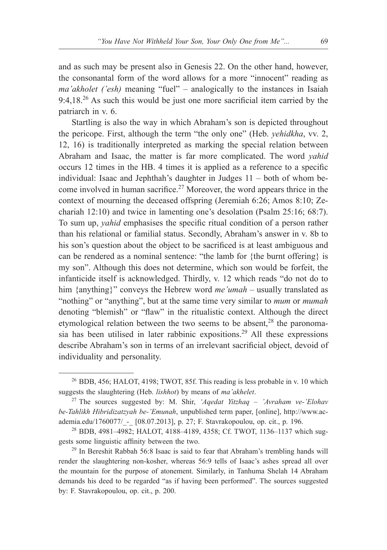and as such may be present also in Genesis 22. On the other hand, however, the consonantal form of the word allows for a more "innocent" reading as *ma'akholet ('esh)* meaning "fuel" – analogically to the instances in Isaiah 9:4,18.<sup>26</sup> As such this would be just one more sacrificial item carried by the patriarch in v. 6.

Startling is also the way in which Abraham's son is depicted throughout the pericope. First, although the term "the only one" (Heb. *yehidkha*, vv. 2, 12, 16) is traditionally interpreted as marking the special relation between Abraham and Isaac, the matter is far more complicated. The word *yahid* occurs 12 times in the HB. 4 times it is applied as a reference to a specific individual: Isaac and Jephthah's daughter in Judges 11 – both of whom become involved in human sacrifice.<sup>27</sup> Moreover, the word appears thrice in the context of mourning the deceased offspring (Jeremiah 6:26; Amos 8:10; Zechariah 12:10) and twice in lamenting one's desolation (Psalm 25:16; 68:7). To sum up, *yahid* emphasises the specific ritual condition of a person rather than his relational or familial status. Secondly, Abraham's answer in v. 8b to his son's question about the object to be sacrificed is at least ambiguous and can be rendered as a nominal sentence: "the lamb for {the burnt offering} is my son". Although this does not determine, which son would be forfeit, the infanticide itself is acknowledged. Thirdly, v. 12 which reads "do not do to him {anything}" conveys the Hebrew word *me'umah* – usually translated as "nothing" or "anything", but at the same time very similar to *mum* or *mumah* denoting "blemish" or "flaw" in the ritualistic context. Although the direct etymological relation between the two seems to be absent,<sup>28</sup> the paronomasia has been utilised in later rabbinic expositions.<sup>29</sup> All these expressions describe Abraham's son in terms of an irrelevant sacrificial object, devoid of individuality and personality.

<sup>&</sup>lt;sup>26</sup> BDB, 456; HALOT, 4198; TWOT, 85f. This reading is less probable in v. 10 which suggests the slaughtering (Heb. *lishhot*) by means of *ma'akhelet*.<br><sup>27</sup> The sources suggested by: M. Shir, *'Aqedat Yitzhaq – 'Avraham ve-'Elohav* 

*be-Tahlikh Hibridizatzyah be-'Emunah*, unpublished term paper, [online], http://www.academia.edu/1760077/\_-\_ [08.07.2013], p. 27; F. Stavrakopoulou, op. cit., p. 196.

<sup>28</sup> BDB, 4981–4982; HALOT, 4188–4189, 4358; Cf. TWOT, 1136–1137 which suggests some linguistic affinity between the two.

<sup>&</sup>lt;sup>29</sup> In Bereshit Rabbah 56:8 Isaac is said to fear that Abraham's trembling hands will render the slaughtering non-kosher, whereas 56:9 tells of Isaac's ashes spread all over the mountain for the purpose of atonement. Similarly, in Tanhuma Shelah 14 Abraham demands his deed to be regarded "as if having been performed". The sources suggested by: F. Stavrakopoulou, op. cit., p. 200.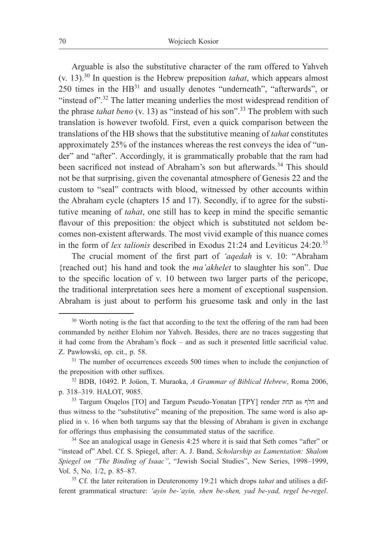Arguable is also the substitutive character of the ram offered to Yahveh (v. 13).<sup>30</sup> In question is the Hebrew preposition *tahat*, which appears almost 250 times in the HB<sup>31</sup> and usually denotes "underneath", "afterwards", or "instead of".<sup>32</sup> The latter meaning underlies the most widespread rendition of the phrase *tahat beno* (v. 13) as "instead of his son".33 The problem with such translation is however twofold. First, even a quick comparison between the translations of the HB shows that the substitutive meaning of *tahat* constitutes approximately 25% of the instances whereas the rest conveys the idea of "under" and "after". Accordingly, it is grammatically probable that the ram had been sacrificed not instead of Abraham's son but afterwards.<sup>34</sup> This should not be that surprising, given the covenantal atmosphere of Genesis 22 and the custom to "seal" contracts with blood, witnessed by other accounts within the Abraham cycle (chapters 15 and 17). Secondly, if to agree for the substitutive meaning of *tahat*, one still has to keep in mind the specific semantic flavour of this preposition: the object which is substituted not seldom becomes non-existent afterwards. The most vivid example of this nuance comes in the form of *lex talionis* described in Exodus 21:24 and Leviticus 24:20.<sup>35</sup>

The crucial moment of the first part of *'aqedah* is v. 10: "Abraham {reached out} his hand and took the *ma'akhelet* to slaughter his son". Due to the specific location of v. 10 between two larger parts of the pericope, the traditional interpretation sees here a moment of exceptional suspension. Abraham is just about to perform his gruesome task and only in the last

<sup>&</sup>lt;sup>30</sup> Worth noting is the fact that according to the text the offering of the ram had been commanded by neither Elohim nor Yahveh. Besides, there are no traces suggesting that it had come from the Abraham's flock – and as such it presented little sacrificial value. Z. Pawłowski, op. cit., p. 58.

<sup>&</sup>lt;sup>31</sup> The number of occurrences exceeds 500 times when to include the conjunction of the preposition with other suffixes.

<sup>32</sup> BDB, 10492. P. Joüon, T. Muraoka, *A Grammar of Biblical Hebrew*, Roma 2006, p. 318–319. HALOT, 9085.

<sup>33</sup> Targum Onqelos [TO] and Targum Pseudo-Yonatan [TPY] render תחת as חלף and thus witness to the "substitutive" meaning of the preposition. The same word is also applied in v. 16 when both targums say that the blessing of Abraham is given in exchange for offerings thus emphasising the consummated status of the sacrifice.<br><sup>34</sup> See an analogical usage in Genesis 4:25 where it is said that Seth comes "after" or

<sup>&</sup>quot;instead of" Abel. Cf. S. Spiegel, after: A. J. Band, *Scholarship as Lamentation: Shalom Spiegel on "The Binding of Isaac"*, "Jewish Social Studies", New Series, 1998–1999, Vol. 5, No. 1/2, p. 85–87.

<sup>35</sup> Cf. the later reiteration in Deuteronomy 19:21 which drops *tahat* and utilises a different grammatical structure: *'ayin be-'ayin, shen be-shen, yad be-yad, regel be-regel*.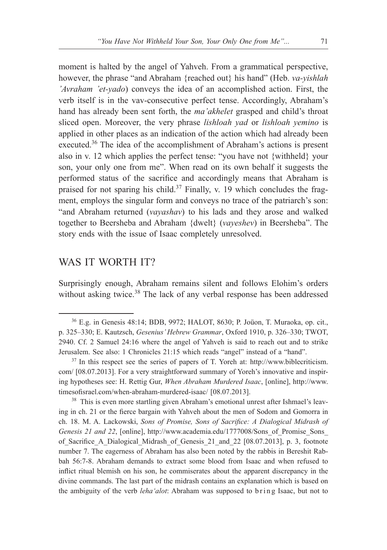moment is halted by the angel of Yahveh. From a grammatical perspective, however, the phrase "and Abraham {reached out} his hand" (Heb. *va-yishlah 'Avraham 'et-yado*) conveys the idea of an accomplished action. First, the verb itself is in the vav-consecutive perfect tense. Accordingly, Abraham's hand has already been sent forth, the *ma'akhelet* grasped and child's throat sliced open. Moreover, the very phrase *lishloah yad* or *lishloah yemino* is applied in other places as an indication of the action which had already been executed.<sup>36</sup> The idea of the accomplishment of Abraham's actions is present also in v. 12 which applies the perfect tense: "you have not {withheld} your son, your only one from me". When read on its own behalf it suggests the performed status of the sacrifice and accordingly means that Abraham is praised for not sparing his child.<sup>37</sup> Finally, v. 19 which concludes the fragment, employs the singular form and conveys no trace of the patriarch's son: "and Abraham returned (*vayashav*) to his lads and they arose and walked together to Beersheba and Abraham {dwelt} (*vayeshev*) in Beersheba". The story ends with the issue of Isaac completely unresolved.

### WAS IT WORTH IT?

Surprisingly enough, Abraham remains silent and follows Elohim's orders without asking twice.<sup>38</sup> The lack of any verbal response has been addressed

<sup>38</sup> This is even more startling given Abraham's emotional unrest after Ishmael's leaving in ch. 21 or the fierce bargain with Yahveh about the men of Sodom and Gomorra in ch. 18. M. A. Lackowski, *Sons of Promise, Sons of Sacrifice: A Dialogical Midrash of Genesis 21 and 22*, [online], http://www.academia.edu/1777008/Sons\_of\_Promise\_Sons\_ of\_Sacrifice\_A\_Dialogical\_Midrash\_of\_Genesis\_21\_and\_22 [08.07.2013], p. 3, footnote number 7. The eagerness of Abraham has also been noted by the rabbis in Bereshit Rabbah 56:7-8. Abraham demands to extract some blood from Isaac and when refused to inflict ritual blemish on his son, he commiserates about the apparent discrepancy in the divine commands. The last part of the midrash contains an explanation which is based on the ambiguity of the verb *leha'alot*: Abraham was supposed to b ring Isaac, but not to

<sup>36</sup> E.g. in Genesis 48:14; BDB, 9972; HALOT, 8630; P. Joüon, T. Muraoka, op. cit., p. 325–330; E. Kautzsch, *Gesenius' Hebrew Grammar*, Oxford 1910, p. 326–330; TWOT, 2940. Cf. 2 Samuel 24:16 where the angel of Yahveh is said to reach out and to strike Jerusalem. See also: 1 Chronicles 21:15 which reads "angel" instead of a "hand".

<sup>37</sup> In this respect see the series of papers of T. Yoreh at: http://www.biblecriticism. com/ [08.07.2013]. For a very straightforward summary of Yoreh's innovative and inspiring hypotheses see: H. Rettig Gur, *When Abraham Murdered Isaac*, [online], http://www. timesofisrael.com/when-abraham-murdered-isaac/ [08.07.2013].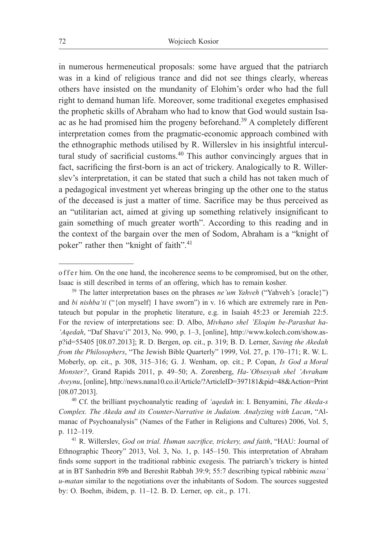in numerous hermeneutical proposals: some have argued that the patriarch was in a kind of religious trance and did not see things clearly, whereas others have insisted on the mundanity of Elohim's order who had the full right to demand human life. Moreover, some traditional exegetes emphasised the prophetic skills of Abraham who had to know that God would sustain Isaac as he had promised him the progeny beforehand.<sup>39</sup> A completely different interpretation comes from the pragmatic-economic approach combined with the ethnographic methods utilised by R. Willerslev in his insightful intercultural study of sacrificial customs.<sup>40</sup> This author convincingly argues that in fact, sacrificing the first-born is an act of trickery. Analogically to R. Willerslev's interpretation, it can be stated that such a child has not taken much of a pedagogical investment yet whereas bringing up the other one to the status of the deceased is just a matter of time. Sacrifice may be thus perceived as an "utilitarian act, aimed at giving up something relatively insignificant to gain something of much greater worth". According to this reading and in the context of the bargain over the men of Sodom, Abraham is a "knight of poker" rather then "knight of faith".<sup>41</sup>

o f f e r him. On the one hand, the incoherence seems to be compromised, but on the other, Isaac is still described in terms of an offering, which has to remain kosher.

<sup>&</sup>lt;sup>39</sup> The latter interpretation bases on the phrases *ne'um Yahveh* ("Yahveh's {oracle}") and *bi nishba'ti* ("{on myself} I have sworn") in v. 16 which are extremely rare in Pentateuch but popular in the prophetic literature, e.g. in Isaiah 45:23 or Jeremiah 22:5. For the review of interpretations see: D. Albo, *Mivhano shel 'Eloqim be-Parashat ha- 'Aqedah*, "Daf Shavu'i" 2013, No. 990, p. 1–3, [online], http://www.kolech.com/show.asp?id=55405 [08.07.2013]; R. D. Bergen, op. cit., p. 319; B. D. Lerner, *Saving the Akedah from the Philosophers*, "The Jewish Bible Quarterly" 1999, Vol. 27, p. 170–171; R. W. L. Moberly, op. cit., p. 308, 315–316; G. J. Wenham, op. cit.; P. Copan, *Is God a Moral Monster?*, Grand Rapids 2011, p. 49–50; A. Zorenberg, *Ha-'Obsesyah shel 'Avraham Aveynu*, [online], http://news.nana10.co.il/Article/?ArticleID=397181&pid=48&Action=Print [08.07.2013].

<sup>40</sup> Cf. the brilliant psychoanalytic reading of *'aqedah* in: I. Benyamini, *The Akeda-s Complex. The Akeda and its Counter-Narrative in Judaism. Analyzing with Lacan*, "Almanac of Psychoanalysis" (Names of the Father in Religions and Cultures) 2006, Vol. 5, p. 112–119.

<sup>41</sup> R. Willerslev, *God on trial. Human sacrifice, trickery, and faith*, "HAU: Journal of Ethnographic Theory" 2013, Vol. 3, No. 1, p. 145–150. This interpretation of Abraham finds some support in the traditional rabbinic exegesis. The patriarch's trickery is hinted at in BT Sanhedrin 89b and Bereshit Rabbah 39:9; 55:7 describing typical rabbinic *masa' u-matan* similar to the negotiations over the inhabitants of Sodom. The sources suggested by: O. Boehm, ibidem, p. 11–12. B. D. Lerner, op. cit., p. 171.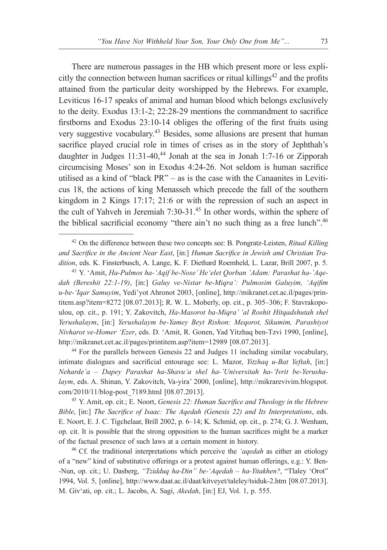There are numerous passages in the HB which present more or less explicitly the connection between human sacrifices or ritual killings $42$  and the profits attained from the particular deity worshipped by the Hebrews. For example, Leviticus 16-17 speaks of animal and human blood which belongs exclusively to the deity. Exodus 13:1-2; 22:28-29 mentions the commandment to sacrifice firstborns and Exodus 23:10-14 obliges the offering of the first fruits using very suggestive vocabulary.43 Besides, some allusions are present that human sacrifice played crucial role in times of crises as in the story of Jephthah's daughter in Judges  $11:31-40$ ,<sup>44</sup> Jonah at the sea in Jonah 1:7-16 or Zipporah circumcising Moses' son in Exodus 4:24-26. Not seldom is human sacrifice utilised as a kind of "black PR" – as is the case with the Canaanites in Leviticus 18, the actions of king Menasseh which precede the fall of the southern kingdom in 2 Kings 17:17; 21:6 or with the repression of such an aspect in the cult of Yahveh in Jeremiah 7:30-31.45 In other words, within the sphere of the biblical sacrificial economy "there ain't no such thing as a free lunch".46

<sup>44</sup> For the parallels between Genesis 22 and Judges 11 including similar vocabulary, intimate dialogues and sacrificial entourage see: L. Mazor, *Yitzhaq u-Bat Yeftah*, [in:] *Neharde'a – Dapey Parashat ha-Shavu'a shel ha-'Universitah ha-'Ivrit be-Yerushalaym*, eds. A. Shinan, Y. Zakovitch, Va-yira' 2000, [online], http://mikrarevivim.blogspot. com/2010/11/blog-post\_7189.html [08.07.2013].

<sup>45</sup> Y. Amit, op. cit.; E. Noort, *Genesis 22: Human Sacrifice and Theology in the Hebrew Bible*, [in:] *The Sacrifice of Isaac: The Aqedah (Genesis 22) and Its Interpretations*, eds. E. Noort, E. J. C. Tigchelaar, Brill 2002, p. 6–14; K. Schmid, op. cit., p. 274; G. J. Wenham, op. cit. It is possible that the strong opposition to the human sacrifices might be a marker of the factual presence of such laws at a certain moment in history.

<sup>46</sup> Cf. the traditional interpretations which perceive the *'aqedah* as either an etiology of a "new" kind of substitutive offerings or a protest against human offerings, e.g.: Y. Ben- -Nun, op. cit.; U. Dasberg, *"Tzidduq ha-Din" be-'Aqedah – ha-Yitakhen?*, "Tlaley 'Orot" 1994, Vol. 5, [online], http://www.daat.ac.il/daat/kitveyet/taleley/tsiduk-2.htm [08.07.2013]. M. Giv'ati, op. cit.; L. Jacobs, A. Sagi, *Akedah*, [in:] EJ, Vol. 1, p. 555.

<sup>42</sup> On the difference between these two concepts see: B. Pongratz-Leisten, *Ritual Killing and Sacrifice in the Ancient Near East*, [in:] *Human Sacrifice in Jewish and Christian Tradition*, eds. K. Finsterbusch, A. Lange, K. F. Diethard Roemheld, L. Lazar, Brill 2007, p. 5.

<sup>43</sup> Y. 'Amit, *Ha-Pulmos ha-'Aqif be-Nose' He'elet Qorban 'Adam: Parashat ha-'Aqedah (Bereshit 22:1-19)*, [in:] *Galuy ve-Nistar be-Miqra': Pulmosim Galuyim, 'Aqifim u-be-'Iqar Samuyim*, Yedi'yot Ahronot 2003, [online], http://mikranet.cet.ac.il/pages/printitem.asp?item=8272 [08.07.2013]; R. W. L. Moberly, op. cit., p. 305–306; F. Stavrakopoulou, op. cit., p. 191; Y. Zakovitch, *Ha-Masorot ba-Miqra' 'al Roshit Hitqadshutah shel Yerushalaym*, [in:] *Yerushalaym be-Yamey Beyt Rishon: Meqorot, Sikumim, Parashiyot Nivharot ve-Homer 'Ezer*, eds. D. 'Amit, R. Gonen, Yad Yitzhaq ben-Tzvi 1990, [online], http://mikranet.cet.ac.il/pages/printitem.asp?item=12989 [08.07.2013].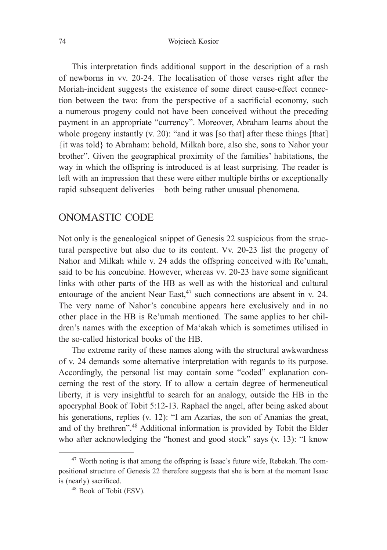This interpretation finds additional support in the description of a rash of newborns in vv. 20-24. The localisation of those verses right after the Moriah-incident suggests the existence of some direct cause-effect connection between the two: from the perspective of a sacrificial economy, such a numerous progeny could not have been conceived without the preceding payment in an appropriate "currency". Moreover, Abraham learns about the whole progeny instantly (v. 20): "and it was [so that] after these things [that] {it was told} to Abraham: behold, Milkah bore, also she, sons to Nahor your brother". Given the geographical proximity of the families' habitations, the way in which the offspring is introduced is at least surprising. The reader is left with an impression that these were either multiple births or exceptionally rapid subsequent deliveries – both being rather unusual phenomena.

### ONOMASTIC CODE

Not only is the genealogical snippet of Genesis 22 suspicious from the structural perspective but also due to its content. Vv. 20-23 list the progeny of Nahor and Milkah while v. 24 adds the offspring conceived with Re'umah, said to be his concubine. However, whereas vv. 20-23 have some significant links with other parts of the HB as well as with the historical and cultural entourage of the ancient Near East,<sup>47</sup> such connections are absent in v. 24. The very name of Nahor's concubine appears here exclusively and in no other place in the HB is Re'umah mentioned. The same applies to her children's names with the exception of Ma'akah which is sometimes utilised in the so-called historical books of the HB.

The extreme rarity of these names along with the structural awkwardness of v. 24 demands some alternative interpretation with regards to its purpose. Accordingly, the personal list may contain some "coded" explanation concerning the rest of the story. If to allow a certain degree of hermeneutical liberty, it is very insightful to search for an analogy, outside the HB in the apocryphal Book of Tobit 5:12-13. Raphael the angel, after being asked about his generations, replies (v. 12): "I am Azarias, the son of Ananias the great, and of thy brethren".<sup>48</sup> Additional information is provided by Tobit the Elder who after acknowledging the "honest and good stock" says (v. 13): "I know

<sup>47</sup> Worth noting is that among the offspring is Isaac's future wife, Rebekah. The compositional structure of Genesis 22 therefore suggests that she is born at the moment Isaac is (nearly) sacrificed.

<sup>48</sup> Book of Tobit (ESV).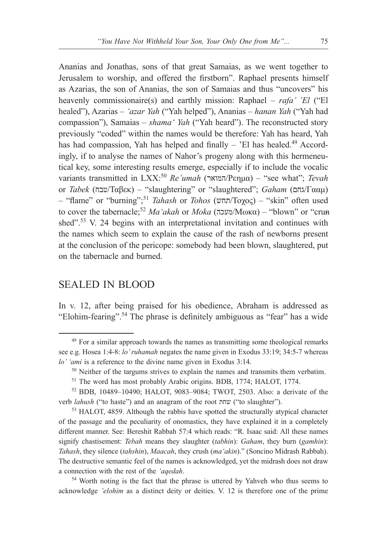Ananias and Jonathas, sons of that great Samaias, as we went together to Jerusalem to worship, and offered the firstborn". Raphael presents himself as Azarias, the son of Ananias, the son of Samaias and thus "uncovers" his heavenly commissionaire(s) and earthly mission: Raphael – *rafa' 'El* ("El healed"), Azarias – *'azar Yah* ("Yah helped"), Ananias – *hanan Yah* ("Yah had compassion"), Samaias – *shama' Yah* ("Yah heard"). The reconstructed story previously "coded" within the names would be therefore: Yah has heard, Yah has had compassion, Yah has helped and finally  $-$  'El has healed.<sup>49</sup> Accordingly, if to analyse the names of Nahor's progeny along with this hermeneutical key, some interesting results emerge, especially if to include the vocalic variants transmitted in LXX:50 *Re'umah* (המואר/Ρεημα) – "see what"; *Tevah* or *Tabek* (טבח/Ταβεκ) – "slaughtering" or "slaughtered"; *Gaham* (גחם/Γααμ) – "flame" or "burning";<sup>51</sup> *Tahash* or *Tohos* (תחש/Τοχος) – "skin" often used to cover the tabernacle;<sup>52</sup> *Ma'akah* or *Moka* (מעכה/Μωκα) – "blown" or "crushed".<sup>53</sup> V. 24 begins with an interpretational invitation and continues with the names which seem to explain the cause of the rash of newborns present at the conclusion of the pericope: somebody had been blown, slaughtered, put on the tabernacle and burned.

# SEALED IN BLOOD

In v. 12, after being praised for his obedience, Abraham is addressed as "Elohim-fearing".54 The phrase is definitely ambiguous as "fear" has a wide

acknowledge *'elohim* as a distinct deity or deities. V. 12 is therefore one of the prime

<sup>&</sup>lt;sup>49</sup> For a similar approach towards the names as transmitting some theological remarks see e.g. Hosea 1:4-8: *lo' ruhamah* negates the name given in Exodus 33:19; 34:5-7 whereas *lo' 'ami* is a reference to the divine name given in Exodus 3:14.

<sup>&</sup>lt;sup>50</sup> Neither of the targums strives to explain the names and transmits them verbatim.

<sup>51</sup> The word has most probably Arabic origins. BDB, 1774; HALOT, 1774.

<sup>52</sup> BDB, 10489–10490; HALOT, 9083–9084; TWOT, 2503. Also: a derivate of the verb *lahush* ("to haste") and an anagram of the root שחת" ("to slaughter").

<sup>&</sup>lt;sup>53</sup> HALOT, 4859. Although the rabbis have spotted the structurally atypical character of the passage and the peculiarity of onomastics, they have explained it in a completely different manner. See: Bereshit Rabbah 57:4 which reads: "R. Isaac said: All these names signify chastisement: *Tebah* means they slaughter (*tabhin*): *Gaham*, they burn (*gamhin*): *Tahash*, they silence (*tahshin*), *Maacah*, they crush (*ma'akin*)." (Soncino Midrash Rabbah). The destructive semantic feel of the names is acknowledged, yet the midrash does not draw a connection with the rest of the *'aqedah*. 54 Worth noting is the fact that the phrase is uttered by Yahveh who thus seems to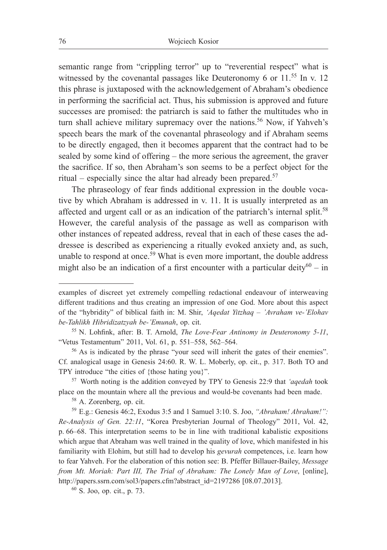semantic range from "crippling terror" up to "reverential respect" what is witnessed by the covenantal passages like Deuteronomy 6 or  $11<sup>55</sup>$  In v. 12 this phrase is juxtaposed with the acknowledgement of Abraham's obedience in performing the sacrificial act. Thus, his submission is approved and future successes are promised: the patriarch is said to father the multitudes who in turn shall achieve military supremacy over the nations.<sup>56</sup> Now, if Yahveh's speech bears the mark of the covenantal phraseology and if Abraham seems to be directly engaged, then it becomes apparent that the contract had to be sealed by some kind of offering – the more serious the agreement, the graver the sacrifice. If so, then Abraham's son seems to be a perfect object for the ritual – especially since the altar had already been prepared.57

The phraseology of fear finds additional expression in the double vocative by which Abraham is addressed in v. 11. It is usually interpreted as an affected and urgent call or as an indication of the patriarch's internal split.<sup>58</sup> However, the careful analysis of the passage as well as comparison with other instances of repeated address, reveal that in each of these cases the addressee is described as experiencing a ritually evoked anxiety and, as such, unable to respond at once.<sup>59</sup> What is even more important, the double address might also be an indication of a first encounter with a particular deity $60 - in$ 

examples of discreet yet extremely compelling redactional endeavour of interweaving different traditions and thus creating an impression of one God. More about this aspect of the "hybridity" of biblical faith in: M. Shir, *'Aqedat Yitzhaq – 'Avraham ve-'Elohav be-Tahlikh Hibridizatzyah be-'Emunah*, op. cit.

<sup>55</sup> N. Lohfink, after: B. T. Arnold, *The Love-Fear Antinomy in Deuteronomy 5-11*, "Vetus Testamentum" 2011, Vol. 61, p. 551–558, 562–564.

<sup>56</sup> As is indicated by the phrase "your seed will inherit the gates of their enemies". Cf. analogical usage in Genesis 24:60. R. W. L. Moberly, op. cit., p. 317. Both TO and TPY introduce "the cities of {those hating you}". 57 Worth noting is the addition conveyed by TPY to Genesis 22:9 that *'aqedah* took

place on the mountain where all the previous and would-be covenants had been made.

<sup>58</sup> A. Zorenberg, op. cit.

<sup>59</sup> E.g.: Genesis 46:2, Exodus 3:5 and 1 Samuel 3:10. S. Joo, *"Abraham! Abraham!": Re-Analysis of Gen. 22:11*, "Korea Presbyterian Journal of Theology" 2011, Vol. 42, p. 66–68. This interpretation seems to be in line with traditional kabalistic expositions which argue that Abraham was well trained in the quality of love, which manifested in his familiarity with Elohim, but still had to develop his *gevurah* competences, i.e. learn how to fear Yahveh. For the elaboration of this notion see: B. Pfeffer Billauer-Bailey, *Message from Mt. Moriah: Part III, The Trial of Abraham: The Lonely Man of Love*, [online], http://papers.ssrn.com/sol3/papers.cfm?abstract\_id=2197286 [08.07.2013].

<sup>60</sup> S. Joo, op. cit., p. 73.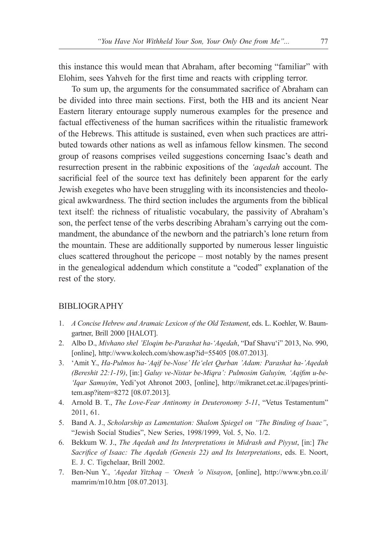this instance this would mean that Abraham, after becoming "familiar" with Elohim, sees Yahveh for the first time and reacts with crippling terror.

To sum up, the arguments for the consummated sacrifice of Abraham can be divided into three main sections. First, both the HB and its ancient Near Eastern literary entourage supply numerous examples for the presence and factual effectiveness of the human sacrifices within the ritualistic framework of the Hebrews. This attitude is sustained, even when such practices are attributed towards other nations as well as infamous fellow kinsmen. The second group of reasons comprises veiled suggestions concerning Isaac's death and resurrection present in the rabbinic expositions of the *'aqedah* account. The sacrificial feel of the source text has definitely been apparent for the early Jewish exegetes who have been struggling with its inconsistencies and theological awkwardness. The third section includes the arguments from the biblical text itself: the richness of ritualistic vocabulary, the passivity of Abraham's son, the perfect tense of the verbs describing Abraham's carrying out the commandment, the abundance of the newborn and the patriarch's lone return from the mountain. These are additionally supported by numerous lesser linguistic clues scattered throughout the pericope – most notably by the names present in the genealogical addendum which constitute a "coded" explanation of the rest of the story.

#### **BIBLIOGRAPHY**

- 1. *A Concise Hebrew and Aramaic Lexicon of the Old Testament*, eds. L. Koehler, W. Baumgartner, Brill 2000 [HALOT].
- 2. Albo D., *Mivhano shel 'Eloqim be-Parashat ha-'Aqedah*, "Daf Shavu'i" 2013, No. 990, [online], http://www.kolech.com/show.asp?id=55405 [08.07.2013].
- 3. 'Amit Y., *Ha-Pulmos ha-'Aqif be-Nose' He'elet Qurban 'Adam: Parashat ha-'Aqedah (Bereshit 22:1-19)*, [in:] *Galuy ve-Nistar be-Miqra': Pulmosim Galuyim, 'Aqifim u-be- 'Iqar Samuyim*, Yedi'yot Ahronot 2003, [online], http://mikranet.cet.ac.il/pages/printitem.asp?item=8272 [08.07.2013].
- 4. Arnold B. T., *The Love-Fear Antinomy in Deuteronomy 5-11*, "Vetus Testamentum" 2011, 61.
- 5. Band A. J., *Scholarship as Lamentation: Shalom Spiegel on "The Binding of Isaac"*, "Jewish Social Studies", New Series, 1998/1999, Vol. 5, No. 1/2.
- 6. Bekkum W. J., *The Aqedah and Its Interpretations in Midrash and Piyyut*, [in:] *The Sacrifice of Isaac: The Aqedah (Genesis 22) and Its Interpretations*, eds. E. Noort, E. J. C. Tigchelaar, Brill 2002.
- 7. Ben-Nun Y., *'Aqedat Yitzhaq 'Onesh 'o Nisayon*, [online], http://www.ybn.co.il/ mamrim/m10.htm [08.07.2013].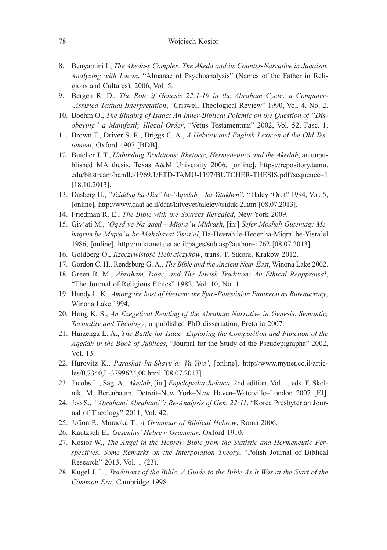- 8. Benyamini I., *The Akeda-s Complex. The Akeda and its Counter-Narrative in Judaism. Analyzing with Lacan*, "Almanac of Psychoanalysis" (Names of the Father in Religions and Cultures), 2006, Vol. 5.
- 9. Bergen R. D., *The Role if Genesis 22:1-19 in the Abraham Cycle: a Computer- -Assisted Textual Interpretation*, "Criswell Theological Review" 1990, Vol. 4, No. 2.
- 10. Boehm O., *The Binding of Isaac: An Inner-Biblical Polemic on the Question of "Disobeying" a Manifestly Illegal Order*, "Vetus Testamentum" 2002, Vol. 52, Fasc. 1.
- 11. Brown F., Driver S. R., Briggs C. A., *A Hebrew and English Lexicon of the Old Testament*, Oxford 1907 [BDB].
- 12. Butcher J. T., *Unbinding Traditions: Rhetoric, Hermeneutics and the Akedah*, an unpublished MA thesis, Texas A&M University 2006, [online], https://repository.tamu. edu/bitstream/handle/1969.1/ETD-TAMU-1197/BUTCHER-THESIS.pdf?sequence=1 [18.10.2013].
- 13. Dasberg U., *"Tzidduq ha-Din" be-'Aqedah ha-Yitakhen?*, "Tlaley 'Orot" 1994, Vol. 5, [online], http://www.daat.ac.il/daat/kitveyet/taleley/tsiduk-2.htm [08.07.2013].
- 14. Friedman R. E., *The Bible with the Sources Revealed*, New York 2009.
- 15. Giv'ati M., *'Oqed ve-Na'aqed Miqra' u-Midrash*, [in:] *Sefer Mosheh Gutentag: Mehaqrim be-Miqra' u-be-Mahshavat Yisra'el*, Ha-Hevrah le-Heqer ha-Miqra' be-Yisra'el 1986, [online], http://mikranet.cet.ac.il/pages/sub.asp?author=1762 [08.07.2013].
- 16. Goldberg O., *Rzeczywistość Hebrajczyków*, trans. T. Sikora, Kraków 2012.
- 17. Gordon C. H., Rendsburg G. A., *The Bible and the Ancient Near East*, Winona Lake 2002.
- 18. Green R. M., *Abraham, Isaac, and The Jewish Tradition: An Ethical Reappraisal*, "The Journal of Religious Ethics" 1982, Vol. 10, No. 1.
- 19. Handy L. K., *Among the host of Heaven: the Syro-Palestinian Pantheon as Bureaucracy*, Winona Lake 1994.
- 20. Hong K. S., *An Exegetical Reading of the Abraham Narrative in Genesis. Semantic, Textuality and Theology*, unpublished PhD dissertation, Pretoria 2007.
- 21. Huizenga L. A., *The Battle for Isaac: Exploring the Composition and Function of the Aqedah in the Book of Jubilees*, "Journal for the Study of the Pseudepigrapha" 2002, Vol. 13.
- 22. Hurovitz K., *Parashat ha-Shavu'a: Va-Yira'*, [online], http://www.mynet.co.il/articles/0,7340,L-3799624,00.html [08.07.2013].
- 23. Jacobs L., Sagi A., *Akedah*, [in:] *Enyclopedia Judaica*, 2nd edition, Vol. 1, eds. F. Skolnik, M. Berenbaum, Detroit–New York–New Haven–Waterville–London 2007 [EJ].
- 24. Joo S., *"Abraham! Abraham!": Re-Analysis of Gen. 22:11*, "Korea Presbyterian Journal of Theology" 2011, Vol. 42.
- 25. Joüon P., Muraoka T., *A Grammar of Biblical Hebrew*, Roma 2006.
- 26. Kautzsch E., *Gesenius' Hebrew Grammar*, Oxford 1910.
- 27. Kosior W., *The Angel in the Hebrew Bible from the Statistic and Hermeneutic Perspectives. Some Remarks on the Interpolation Theory*, "Polish Journal of Biblical Research" 2013, Vol. 1 (23).
- 28. Kugel J. L., *Traditions of the Bible. A Guide to the Bible As It Was at the Start of the Common Era*, Cambridge 1998.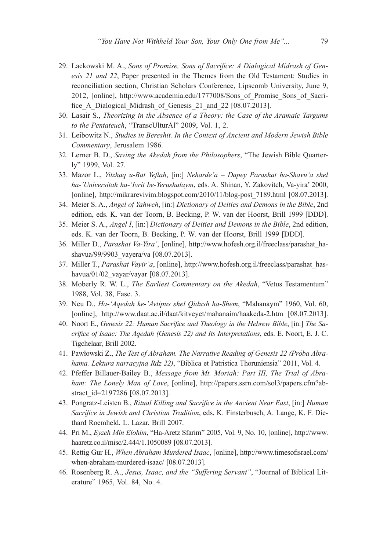- 29. Lackowski M. A., *Sons of Promise, Sons of Sacrifice: A Dialogical Midrash of Genesis 21 and 22*, Paper presented in the Themes from the Old Testament: Studies in reconciliation section, Christian Scholars Conference, Lipscomb University, June 9, 2012, [online], http://www.academia.edu/1777008/Sons\_of\_Promise\_Sons\_of\_Sacrifice A Dialogical Midrash of Genesis 21 and 22 [08.07.2013].
- 30. Lasair S., *Theorizing in the Absence of a Theory: the Case of the Aramaic Targums to the Pentateuch*, "TranscUlturAl" 2009, Vol. 1, 2.
- 31. Leibowitz N., *Studies in Bereshit. In the Context of Ancient and Modern Jewish Bible Commentary*, Jerusalem 1986.
- 32. Lerner B. D., *Saving the Akedah from the Philosophers*, "The Jewish Bible Quarterly" 1999, Vol. 27.
- 33. Mazor L., *Yitzhaq u-Bat Yeftah*, [in:] *Neharde'a* – *Dapey Parashat ha-Shavu'a shel ha-'Universitah ha-'Ivrit be-Yerushalaym*, eds. A. Shinan, Y. Zakovitch, Va-yira' 2000, [online], http://mikrarevivim.blogspot.com/2010/11/blog-post\_7189.html [08.07.2013].
- 34. Meier S. A., *Angel of Yahweh*, [in:] *Dictionary of Deities and Demons in the Bible*, 2nd edition, eds. K. van der Toorn, B. Becking, P. W. van der Hoorst, Brill 1999 [DDD].
- 35. Meier S. A., *Angel I*, [in:] *Dictionary of Deities and Demons in the Bible*, 2nd edition, eds. K. van der Toorn, B. Becking, P. W. van der Hoorst, Brill 1999 [DDD].
- 36. Miller D., *Parashat Va-Yira'*, [online], http://www.hofesh.org.il/freeclass/parashat\_hashavua/99/9903\_vayera/va [08.07.2013].
- 37. Miller T., *Parashat Vayir'a*, [online], http://www.hofesh.org.il/freeclass/parashat\_hashavua/01/02\_vayar/vayar [08.07.2013].
- 38. Moberly R. W. L., *The Earliest Commentary on the Akedah*, "Vetus Testamentum" 1988, Vol. 38, Fasc. 3.
- 39. Neu D., *Ha-'Aqedah ke-'Avtipus shel Qidush ha-Shem*, "Mahanaym" 1960, Vol. 60, [online], http://www.daat.ac.il/daat/kitveyet/mahanaim/haakeda-2.htm [08.07.2013].
- 40. Noort E., *Genesis 22: Human Sacrifice and Theology in the Hebrew Bible*, [in:] *The Sacrifice of Isaac: The Aqedah (Genesis 22) and Its Interpretations*, eds. E. Noort, E. J. C. Tigchelaar, Brill 2002.
- 41. Pawłowski Z., *The Test of Abraham. The Narrative Reading of Genesis 22 (Próba Abrahama. Lektura narracyjna Rdz 22)*, "Biblica et Patristica Thoruniensia" 2011, Vol. 4.
- 42. Pfeffer Billauer-Bailey B., *Message from Mt. Moriah: Part III, The Trial of Abraham: The Lonely Man of Love*, [online], http://papers.ssrn.com/sol3/papers.cfm?abstract\_id=2197286 [08.07.2013].
- 43. Pongratz-Leisten B., *Ritual Killing and Sacrifice in the Ancient Near East*, [in:] *Human Sacrifice in Jewish and Christian Tradition*, eds. K. Finsterbusch, A. Lange, K. F. Diethard Roemheld, L. Lazar, Brill 2007.
- 44. Pri M., *Eyzeh Min Elohim*, "Ha-Aretz Sfarim" 2005, Vol. 9, No. 10, [online], http://www. haaretz.co.il/misc/2.444/1.1050089 [08.07.2013].
- 45. Rettig Gur H., *When Abraham Murdered Isaac*, [online], http://www.timesofisrael.com/ when-abraham-murdered-isaac/ [08.07.2013].
- 46. Rosenberg R. A., *Jesus, Isaac, and the "Suffering Servant"*, "Journal of Biblical Literature" 1965, Vol. 84, No. 4.